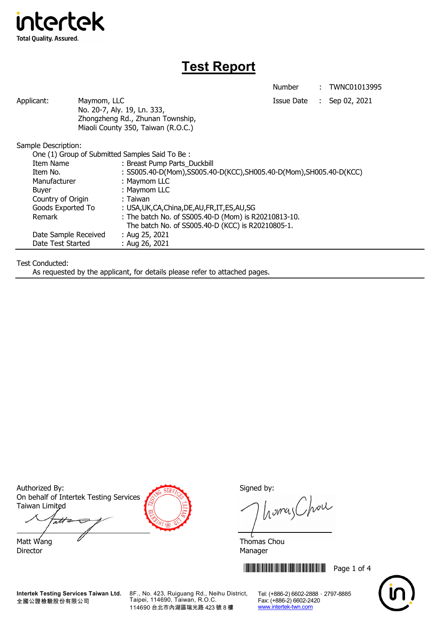

## **Test Report**

Number : TWNC01013995

Applicant: Maymom, LLC Maymon, ILC Applicant: Sep 02, 2021 No. 20-7, Aly. 19, Ln. 333, Zhongzheng Rd., Zhunan Township, Miaoli County 350, Taiwan (R.O.C.)

Sample Description:

| One (1) Group of Submitted Samples Said To Be: |                                                                      |  |
|------------------------------------------------|----------------------------------------------------------------------|--|
| Item Name                                      | : Breast Pump Parts_Duckbill                                         |  |
| Item No.                                       | : SS005.40-D(Mom), SS005.40-D(KCC), SH005.40-D(Mom), SH005.40-D(KCC) |  |
| Manufacturer                                   | : Maymom LLC                                                         |  |
| Buyer                                          | : Maymom LLC                                                         |  |
| Country of Origin                              | : Taiwan                                                             |  |
| Goods Exported To                              | : USA, UK, CA, China, DE, AU, FR, IT, ES, AU, SG                     |  |
| Remark                                         | : The batch No. of SS005.40-D (Mom) is R20210813-10.                 |  |
|                                                | The batch No. of SS005.40-D (KCC) is R20210805-1.                    |  |
| Date Sample Received                           | : Aug 25, 2021                                                       |  |
| Date Test Started                              | : Aug 26, 2021                                                       |  |

Test Conducted:

As requested by the applicant, for details please refer to attached pages.

Authorized By: Signed by: Signed by: On behalf of Intertek Testing Services Taiwan Limited

att

Director Manager

homes Chou

Matt Wang  $\overline{a}$  Matt Wang  $\overline{a}$ 

\*THJ1013995\* Page 1 of 4



**Intertek Testing Services Taiwan Ltd.** 全國公證檢驗股份有限公司

8F., No. 423, Ruiguang Rd., Neihu District, Taipei, 114690, Taiwan, R.O.C. 114690 台北市內湖區瑞光路 423 號 8 樓

Tel: (+886-2) 6602-2888 · 2797-8885 Fax: (+886-2) 6602-2420 www.intertek-twn.com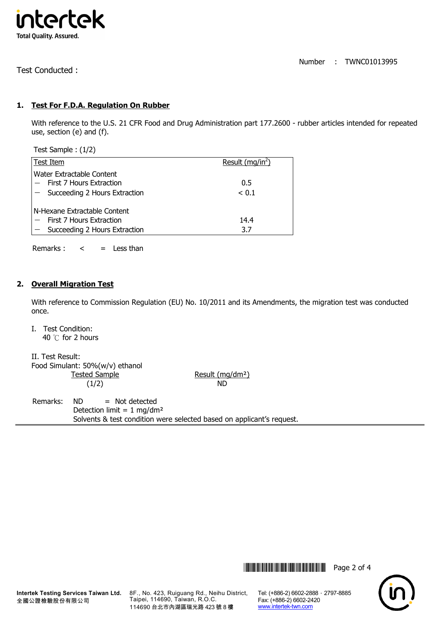

Number : TWNC01013995

Test Conducted :

## **1. Test For F.D.A. Regulation On Rubber**

With reference to the U.S. 21 CFR Food and Drug Administration part 177.2600 - rubber articles intended for repeated use, section (e) and (f).

Test Sample : (1/2)

|                              | Test Item                                                                                  | Result ( $mq/in2$ ) |
|------------------------------|--------------------------------------------------------------------------------------------|---------------------|
|                              | Water Extractable Content<br>First 7 Hours Extraction<br>$-$ Succeeding 2 Hours Extraction | 0.5<br>< 0.1        |
| N-Hexane Extractable Content |                                                                                            |                     |
|                              | First 7 Hours Extraction                                                                   | 14.4                |
|                              | $-$ Succeeding 2 Hours Extraction                                                          | 3.7                 |

Remarks :  $\lt$  = Less than

## **2. Overall Migration Test**

With reference to Commission Regulation (EU) No. 10/2011 and its Amendments, the migration test was conducted once.

I. Test Condition: 40 ℃ for 2 hours

| II. Test Result:                |            |
|---------------------------------|------------|
| Food Simulant: 50%(w/v) ethanol |            |
| <b>Tested Sample</b>            | Result (mg |
| (1/2)                           | ND.        |

Result (mg/dm<sup>2</sup>)

Remarks: ND = Not detected Detection limit =  $1$  mg/dm<sup>2</sup> Solvents & test condition were selected based on applicant's request.



8F., No. 423, Ruiguang Rd., Neihu District, Taipei, 114690, Taiwan, R.O.C. 114690 台北市內湖區瑞光路 423 號 8 樓

Fax: (+886-2) 6602-2420 www.intertek-twn.com

**THEFT THEFT THEFT THEFT THEFT THEFT THEFT THEFT THEFT THEFT THEFT THEFT THEFT THEFT THEFT THEFT THEFT**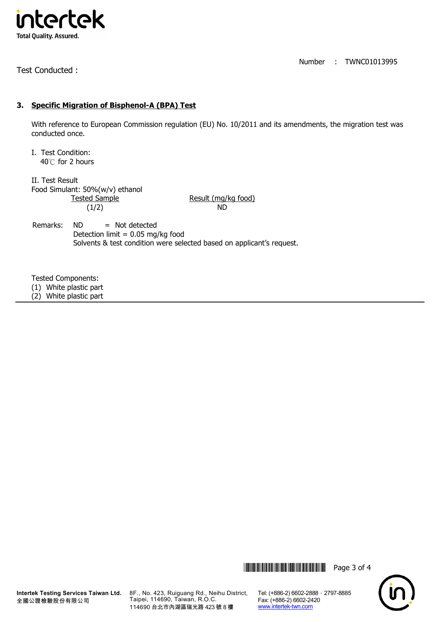

Test Conducted :

Number : TWNC01013995

## **3. Specific Migration of Bisphenol-A (BPA) Test**

With reference to European Commission regulation (EU) No. 10/2011 and its amendments, the migration test was conducted once.

I. Test Condition: 40℃ for 2 hours

II. Test Result Food Simulant: 50%(w/v) ethanol  $(1/2)$  ND

Result (mg/kg food)

Remarks:  $ND$  = Not detected Detection limit =  $0.05$  mg/kg food Solvents & test condition were selected based on applicant's request.

Tested Components:

(1) White plastic part

(2) White plastic part





Tel: (+886-2) 6602-2888 · 2797-8885 Fax: (+886-2) 6602-2420 www.intertek-twn.com